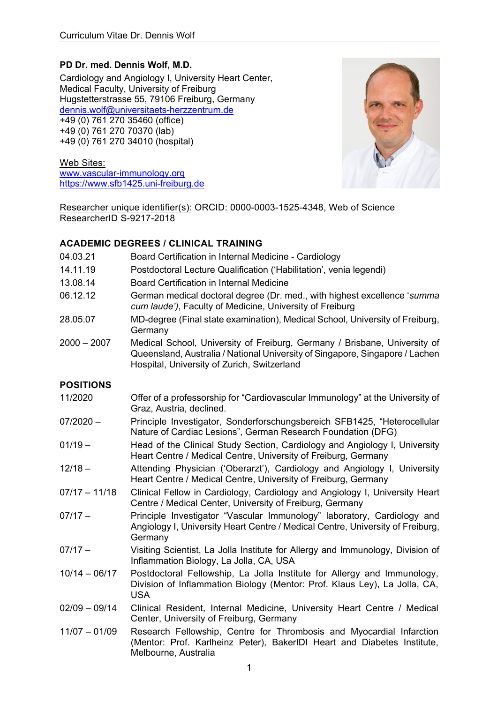# **PD Dr. med. Dennis Wolf, M.D.**

Cardiology and Angiology I, University Heart Center, Medical Faculty, University of Freiburg Hugstetterstrasse 55, 79106 Freiburg, Germany dennis.wolf@universitaets-herzzentrum.de +49 (0) 761 270 35460 (office) +49 (0) 761 270 70370 (lab) +49 (0) 761 270 34010 (hospital)

Web Sites: www.vascular-immunology.org https://www.sfb1425.uni-freiburg.de



Researcher unique identifier(s): ORCID: 0000-0003-1525-4348, Web of Science ResearcherID S-9217-2018

## **ACADEMIC DEGREES / CLINICAL TRAINING**

| 04.03.21         | Board Certification in Internal Medicine - Cardiology                                                                                                                                                    |
|------------------|----------------------------------------------------------------------------------------------------------------------------------------------------------------------------------------------------------|
| 14.11.19         | Postdoctoral Lecture Qualification ('Habilitation', venia legendi)                                                                                                                                       |
| 13.08.14         | Board Certification in Internal Medicine                                                                                                                                                                 |
| 06.12.12         | German medical doctoral degree (Dr. med., with highest excellence 'summa<br>cum laude'), Faculty of Medicine, University of Freiburg                                                                     |
| 28.05.07         | MD-degree (Final state examination), Medical School, University of Freiburg,<br>Germany                                                                                                                  |
| $2000 - 2007$    | Medical School, University of Freiburg, Germany / Brisbane, University of<br>Queensland, Australia / National University of Singapore, Singapore / Lachen<br>Hospital, University of Zurich, Switzerland |
| <b>POSITIONS</b> |                                                                                                                                                                                                          |
| 11/2020          | Offer of a professorship for "Cardiovascular Immunology" at the University of<br>Graz, Austria, declined.                                                                                                |
| $07/2020 -$      | Principle Investigator, Sonderforschungsbereich SFB1425, "Heterocellular<br>Nature of Cardiac Lesions", German Research Foundation (DFG)                                                                 |
| $01/19 -$        | Head of the Clinical Study Section, Cardiology and Angiology I, University<br>Heart Centre / Medical Centre, University of Freiburg, Germany                                                             |
| $12/18 -$        | Attending Physician ('Oberarzt'), Cardiology and Angiology I, University<br>Heart Centre / Medical Centre, University of Freiburg, Germany                                                               |
| $07/17 - 11/18$  | Clinical Fellow in Cardiology, Cardiology and Angiology I, University Heart<br>Centre / Medical Center, University of Freiburg, Germany                                                                  |
| $07/17 -$        | Principle Investigator "Vascular Immunology" laboratory, Cardiology and<br>Angiology I, University Heart Centre / Medical Centre, University of Freiburg,<br>Germany                                     |
| $07/17 -$        | Visiting Scientist, La Jolla Institute for Allergy and Immunology, Division of<br>Inflammation Biology, La Jolla, CA, USA                                                                                |
| $10/14 - 06/17$  | Postdoctoral Fellowship, La Jolla Institute for Allergy and Immunology,<br>Division of Inflammation Biology (Mentor: Prof. Klaus Ley), La Jolla, CA,<br><b>USA</b>                                       |
| $02/09 - 09/14$  | Clinical Resident, Internal Medicine, University Heart Centre / Medical<br>Center, University of Freiburg, Germany                                                                                       |
| $11/07 - 01/09$  | Research Fellowship, Centre for Thrombosis and Myocardial Infarction<br>(Mentor: Prof. Karlheinz Peter), BakerIDI Heart and Diabetes Institute,<br>Melbourne, Australia                                  |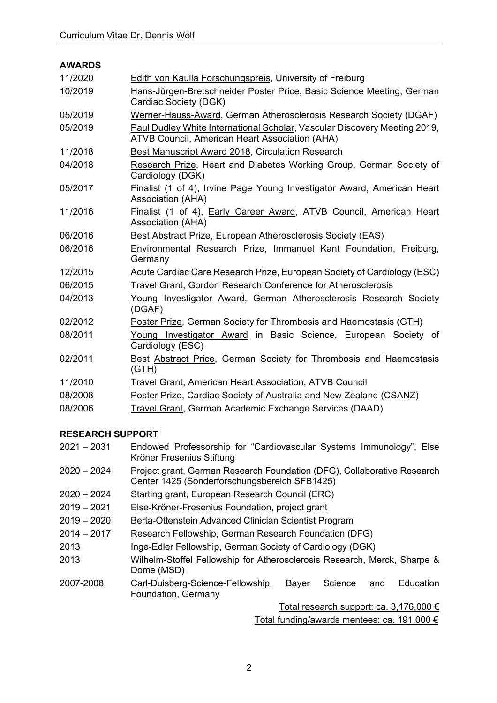### **AWARDS**

| 11/2020 | Edith von Kaulla Forschungspreis, University of Freiburg                                                                    |
|---------|-----------------------------------------------------------------------------------------------------------------------------|
| 10/2019 | Hans-Jürgen-Bretschneider Poster Price, Basic Science Meeting, German<br>Cardiac Society (DGK)                              |
| 05/2019 | Werner-Hauss-Award, German Atherosclerosis Research Society (DGAF)                                                          |
| 05/2019 | Paul Dudley White International Scholar, Vascular Discovery Meeting 2019,<br>ATVB Council, American Heart Association (AHA) |
| 11/2018 | Best Manuscript Award 2018, Circulation Research                                                                            |
| 04/2018 | Research Prize, Heart and Diabetes Working Group, German Society of<br>Cardiology (DGK)                                     |
| 05/2017 | Finalist (1 of 4), Irvine Page Young Investigator Award, American Heart<br>Association (AHA)                                |
| 11/2016 | Finalist (1 of 4), Early Career Award, ATVB Council, American Heart<br>Association (AHA)                                    |
| 06/2016 | Best Abstract Prize, European Atherosclerosis Society (EAS)                                                                 |
| 06/2016 | Environmental Research Prize, Immanuel Kant Foundation, Freiburg,<br>Germany                                                |
| 12/2015 | Acute Cardiac Care Research Prize, European Society of Cardiology (ESC)                                                     |
| 06/2015 | Travel Grant, Gordon Research Conference for Atherosclerosis                                                                |
| 04/2013 | Young Investigator Award, German Atherosclerosis Research Society<br>(DGAF)                                                 |
| 02/2012 | Poster Prize, German Society for Thrombosis and Haemostasis (GTH)                                                           |
| 08/2011 | Young Investigator Award in Basic Science, European Society of<br>Cardiology (ESC)                                          |
| 02/2011 | Best Abstract Price, German Society for Thrombosis and Haemostasis<br>(GTH)                                                 |
| 11/2010 | <b>Travel Grant, American Heart Association, ATVB Council</b>                                                               |
| 08/2008 | Poster Prize, Cardiac Society of Australia and New Zealand (CSANZ)                                                          |
| 08/2006 | Travel Grant, German Academic Exchange Services (DAAD)                                                                      |

## **RESEARCH SUPPORT**

| $2021 - 2031$ | Endowed Professorship for "Cardiovascular Systems Immunology", Else |
|---------------|---------------------------------------------------------------------|
|               | Kröner Fresenius Stiftung                                           |

- 2020 2024 Project grant, German Research Foundation (DFG), Collaborative Research Center 1425 (Sonderforschungsbereich SFB1425)
- 2020 2024 Starting grant, European Research Council (ERC)
- 2019 2021 Else-Kröner-Fresenius Foundation, project grant
- 2019 2020 Berta-Ottenstein Advanced Clinician Scientist Program
- 2014 2017 Research Fellowship, German Research Foundation (DFG)
- 2013 Inge-Edler Fellowship, German Society of Cardiology (DGK)
- 2013 Wilhelm-Stoffel Fellowship for Atherosclerosis Research, Merck, Sharpe & Dome (MSD)
- 2007-2008 Carl-Duisberg-Science-Fellowship, Bayer Science and Education Foundation, Germany

Total research support: ca. 3,176,000 € Total funding/awards mentees: ca. 191,000 €